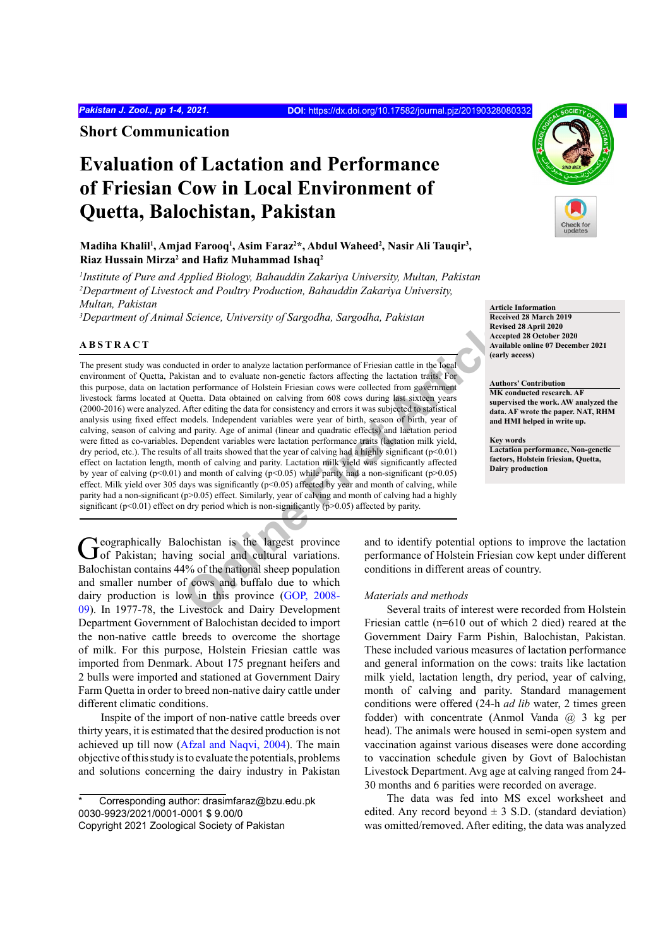**Short Communication**

## **Evaluation of Lactation and Performance of Friesian Cow in Local Environment of Quetta, Balochistan, Pakistan**

## Madiha Khalil<sup>1</sup>, Amjad Farooq<sup>1</sup>, Asim Faraz<sup>2\*</sup>, Abdul Waheed<sup>2</sup>, Nasir Ali Tauqir<sup>3</sup>, **Riaz Hussain Mirza2 and Hafiz Muhammad Ishaq<sup>2</sup>**

*1 Institute of Pure and Applied Biology, Bahauddin Zakariya University, Multan, Pakistan 2 Department of Livestock and Poultry Production, Bahauddin Zakariya University, Multan, Pakistan*

*3 Department of Animal Science, University of Sargodha, Sargodha, Pakistan*

## **ABSTRACT**

**Science, Chiversity of Stiggaland, Stiggaland, 1 akisian and to except<br>acted in order to analyze lactation performance of Friesian cattle in the local<br>sistan and to evaluate non-genetic factors affecting the lactation tra** The present study was conducted in order to analyze lactation performance of Friesian cattle in the local environment of Quetta, Pakistan and to evaluate non-genetic factors affecting the lactation traits. For this purpose, data on lactation performance of Holstein Friesian cows were collected from government livestock farms located at Quetta. Data obtained on calving from 608 cows during last sixteen years (2000-2016) were analyzed. After editing the data for consistency and errors it was subjected to statistical analysis using fixed effect models. Independent variables were year of birth, season of birth, year of calving, season of calving and parity. Age of animal (linear and quadratic effects) and lactation period were fitted as co-variables. Dependent variables were lactation performance traits (lactation milk yield, dry period, etc.). The results of all traits showed that the year of calving had a highly significant ( $p$ <0.01) effect on lactation length, month of calving and parity. Lactation milk yield was significantly affected by year of calving ( $p<0.01$ ) and month of calving ( $p<0.05$ ) while parity had a non-significant ( $p>0.05$ ) effect. Milk yield over 305 days was significantly (p<0.05) affected by year and month of calving, while parity had a non-significant (p>0.05) effect. Similarly, year of calving and month of calving had a highly significant ( $p$ <0.01) effect on dry period which is non-significantly ( $p$ >0.05) affected by parity.

Geographically Balochistan is the largest province of Pakistan; having social and cultural variations. Balochistan contains 44% of the national sheep population and smaller number of cows and buffalo due to which dairy production is low in this province (GOP, 2008- 09). In 1977-78, the Livestock and Dairy Development Department Government of Balochistan decided to import the non-native cattle breeds to overcome the shortage of milk. For this purpose, Holstein Friesian cattle was imported from Denmark. About 175 pregnant heifers and 2 bulls were imported and stationed at Government Dairy Farm Quetta in order to breed non-native dairy cattle under different climatic conditions.

Inspite of the import of non-native cattle breeds over thirty years, it is estimated that the desired production is not achieved up till now (Afzal and Naqvi, 2004). The main objective of this study is to evaluate the potentials, problems and solutions concerning the dairy industry in Pakistan



**Article Information**

**Received 28 March 2019 Revised 28 April 2020 Accepted 28 October 2020 Available online 07 December 2021 (early access)**

#### **Authors' Contribution**

**MK conducted research. AF supervised the work. AW analyzed the data. AF wrote the paper. NAT, RHM and HMI helped in write up.**

**Key words Lactation performance, Non-genetic factors, Holstein friesian, Quetta, Dairy production**

and to identify potential options to improve the lactation performance of Holstein Friesian cow kept under different conditions in different areas of country.

## *Materials and methods*

Several traits of interest were recorded from Holstein Friesian cattle (n=610 out of which 2 died) reared at the Government Dairy Farm Pishin, Balochistan, Pakistan. These included various measures of lactation performance and general information on the cows: traits like lactation milk yield, lactation length, dry period, year of calving, month of calving and parity. Standard management conditions were offered (24-h *ad lib* water, 2 times green fodder) with concentrate (Anmol Vanda @ 3 kg per head). The animals were housed in semi-open system and vaccination against various diseases were done according to vaccination schedule given by Govt of Balochistan Livestock Department. Avg age at calving ranged from 24- 30 months and 6 parities were recorded on average.

The data was fed into MS excel worksheet and edited. Any record beyond  $\pm$  3 S.D. (standard deviation) was omitted/removed. After editing, the data was analyzed

Corresponding author: drasimfaraz@bzu.edu.pk 0030-9923/2021/0001-0001 \$ 9.00/0 Copyright 2021 Zoological Society of Pakistan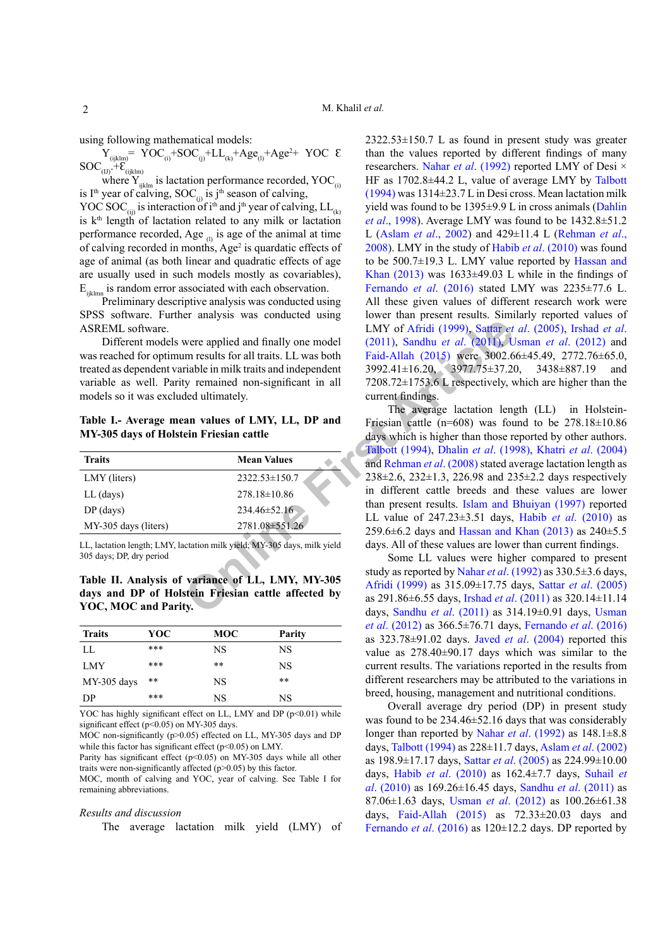using following mathematical models:

 $Y_{(ijklm)} = YOC_{(i)} + SOC_{(i)} + LL_{(k)} + Age_{(l)} + Age^2 + YOC \&$  $SOC_{(IJ)} + E_{(ijklm)}$ 

where  $Y_{ijklm}$  is lactation performance recorded, YOC<sub>(i)</sub> is I<sup>th</sup> year of calving, SOC<sub>(i)</sub> is j<sup>th</sup> season of calving, YOC SOC<sub>(ij)</sub> is interaction of i<sup>th</sup> and j<sup>th</sup> year of calving, LL<sub>(k)</sub>

is  $k<sup>th</sup>$  length of lactation related to any milk or lactation performance recorded, Age  $\alpha$  is age of the animal at time of calving recorded in months, Age<sup>2</sup> is quardatic effects of age of animal (as both linear and quadratic effects of age are usually used in such models mostly as covariables),  $E_{ijklmn}$  is random error associated with each observation.

Preliminary descriptive analysis was conducted using SPSS software. Further analysis was conducted using ASREML software.

Different models were applied and finally one model was reached for optimum results for all traits. LL was both treated as dependent variable in milk traits and independent variable as well. Parity remained non-significant in all models so it was excluded ultimately.

**Table I.- Average mean values of LMY, LL, DP and MY-305 days of Holstein Friesian cattle**

| <b>Traits</b>        | <b>Mean Values</b>  |  |
|----------------------|---------------------|--|
| LMY (liters)         | $2322.53 \pm 150.7$ |  |
| $LL$ (days)          | $278.18 \pm 10.86$  |  |
| $DP$ (days)          | $234.46 \pm 52.16$  |  |
| MY-305 days (liters) | 2781.08±551.26      |  |

LL, lactation length; LMY, lactation milk yield; MY-305 days, milk yield 305 days; DP, dry period

**Table II. Analysis of variance of LL, LMY, MY-305 days and DP of Holstein Friesian cattle affected by YOC, MOC and Parity.**

| <b>Traits</b> | YOC   | MOC  | Parity |
|---------------|-------|------|--------|
| LL            | ***   | NS   | NS     |
| <b>LMY</b>    | ***   | $**$ | NS     |
| MY-305 days   | $* *$ | NS   | $* *$  |
| DP            | $***$ | NS   | NS     |

YOC has highly significant effect on LL, LMY and DP  $(p<0.01)$  while significant effect (p<0.05) on MY-305 days.

MOC non-significantly ( $p > 0.05$ ) effected on LL, MY-305 days and DP while this factor has significant effect (p<0.05) on LMY.

Parity has significant effect (p<0.05) on MY-305 days while all other traits were non-significantly affected  $(p>0.05)$  by this factor.

MOC, month of calving and YOC, year of calving. See Table I for remaining abbreviations.

#### *Results and discussion*

The average lactation milk yield (LMY) of

2322.53±150.7 L as found in present study was greater than the values reported by different findings of many researchers. Nahar *et al*. (1992) reported LMY of Desi × HF as 1702.8±44.2 L, value of average LMY by Talbott (1994) was 1314±23.7 L in Desi cross. Mean lactation milk yield was found to be 1395±9.9 L in cross animals (Dahlin *et al*., 1998). Average LMY was found to be 1432.8±51.2 L (Aslam *et al*., 2002) and 429±11.4 L (Rehman *et al*., 2008). LMY in the study of Habib *et al*. (2010) was found to be 500.7±19.3 L. LMY value reported by Hassan and Khan  $(2013)$  was  $1633\pm49.03$  L while in the findings of Fernando *et al*. (2016) stated LMY was 2235±77.6 L. All these given values of different research work were lower than present results. Similarly reported values of LMY of Afridi (1999), Sattar *et al*. (2005), Irshad *et al*. (2011), Sandhu *et al*. (2011), Usman *et al*. (2012) and Faid-Allah (2015) were 3002.66±45.49, 2772.76±65.0, 3992.41±16.20, 3977.75±37.20, 3438±887.19 and 7208.72±1753.6 L respectively, which are higher than the current findings.

Example the contained aims<br>
LMY of Afridi (1999), Sattar et<br>
in results for all traits. LL was both<br>
Faid-Allah (2015) were, 3002.6<br>
riable in milk traits and independent<br>
17208.72±1753.6 Lrespectively, v<br>
emained non-sign The average lactation length (LL) in Holstein-Friesian cattle (n=608) was found to be  $278.18\pm10.86$ days which is higher than those reported by other authors. Talbott (1994), Dhalin *et al*. (1998), Khatri *et al*. (2004) and Rehman *et al*. (2008) stated average lactation length as 238±2.6, 232±1.3, 226.98 and 235±2.2 days respectively in different cattle breeds and these values are lower than present results. Islam and Bhuiyan (1997) reported LL value of 247.23±3.51 days, Habib *et al*. (2010) as 259.6 $\pm$ 6.2 days and Hassan and Khan (2013) as 240 $\pm$ 5.5 days. All of these values are lower than current findings.

Some LL values were higher compared to present study as reported by Nahar *et al*. (1992) as 330.5±3.6 days, Afridi (1999) as 315.09±17.75 days, Sattar *et al*. (2005) as 291.86±6.55 days, Irshad *et al*. (2011) as 320.14±11.14 days, Sandhu *et al*. (2011) as 314.19±0.91 days, Usman *et al*. (2012) as 366.5±76.71 days, Fernando *et al*. (2016) as 323.78±91.02 days. Javed *et al*. (2004) reported this value as 278.40±90.17 days which was similar to the current results. The variations reported in the results from different researchers may be attributed to the variations in breed, housing, management and nutritional conditions.

Overall average dry period (DP) in present study was found to be 234.46±52.16 days that was considerably longer than reported by Nahar *et al*. (1992) as 148.1±8.8 days, Talbott (1994) as 228±11.7 days, Aslam *et al*. (2002) as 198.9±17.17 days, Sattar *et al*. (2005) as 224.99±10.00 days, Habib *et al*. (2010) as 162.4±7.7 days, Suhail *et al*. (2010) as 169.26±16.45 days, Sandhu *et al*. (2011) as 87.06±1.63 days, Usman *et al*. (2012) as 100.26±61.38 days, Faid-Allah (2015) as 72.33±20.03 days and Fernando *et al*. (2016) as 120±12.2 days. DP reported by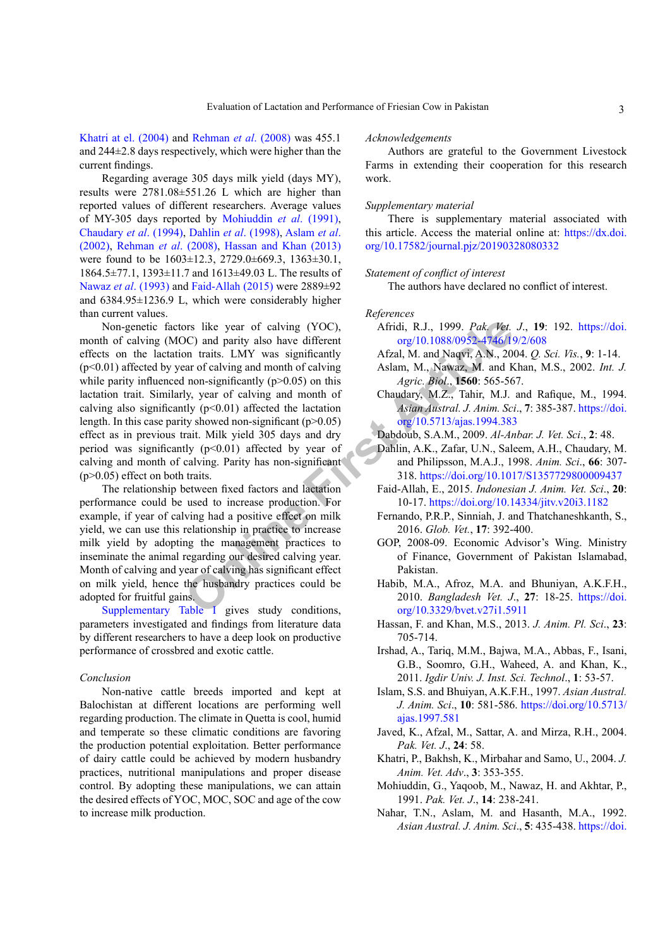Khatri at el. (2004) and Rehman *et al*. (2008) was 455.1 and 244±2.8 days respectively, which were higher than the current findings.

Regarding average 305 days milk yield (days MY), results were 2781.08±551.26 L which are higher than reported values of different researchers. Average values of MY-305 days reported by Mohiuddin *et al*. (1991), Chaudary *et al*. (1994), Dahlin *et al*. (1998), Aslam *et al*. (2002), Rehman *et al*. (2008), Hassan and Khan (2013) were found to be 1603±12.3, 2729.0±669.3, 1363±30.1, 1864.5±77.1, 1393±11.7 and 1613±49.03 L. The results of Nawaz *et al*. (1993) and Faid-Allah (2015) were 2889±92 and 6384.95±1236.9 L, which were considerably higher than current values.

The original mon[t](https://doi.org/10.5713/ajas.1994.383)h of claving (YOC),<br>
The state of the state of the state of the state of the state of the state of the state of the state of the state of the state of claving at mon-significantly (p<0.05) on this and Naqv Non-genetic factors like year of calving (YOC), month of calving (MOC) and parity also have different effects on the lactation traits. LMY was significantly (p<0.01) affected by year of calving and month of calving while parity influenced non-significantly  $(p>0.05)$  on this lactation trait. Similarly, year of calving and month of calving also significantly  $(p<0.01)$  affected the lactation length. In this case parity showed non-significant  $(p>0.05)$ effect as in previous trait. Milk yield 305 days and dry period was significantly  $(p<0.01)$  affected by year of calving and month of calving. Parity has non-significant (p>0.05) effect on both traits.

The relationship between fixed factors and lactation performance could be used to increase production. For example, if year of calving had a positive effect on milk yield, we can use this relationship in practice to increase milk yield by adopting the management practices to inseminate the animal regarding our desired calving year. Month of calving and year of calving has significant effect on milk yield, hence the husbandry practices could be adopted for fruitful gains.

Supplementary Table I gives study conditions, parameters investigated and findings from literature data by different researchers to have a deep look on productive performance of crossbred and exotic cattle.

### *Conclusion*

Non-native cattle breeds imported and kept at Balochistan at different locations are performing well regarding production. The climate in Quetta is cool, humid and temperate so these climatic conditions are favoring the production potential exploitation. Better performance of dairy cattle could be achieved by modern husbandry practices, nutritional manipulations and proper disease control. By adopting these manipulations, we can attain the desired effects of YOC, MOC, SOC and age of the cow to increase milk production.

### *Acknowledgements*

Authors are grateful to the Government Livestock Farms in extending their cooperation for this research work.

## *Supplementary material*

There is supplementary material associated with this article. Access the material online at: [https://dx.doi.](https://dx.doi.org/10.17582/journal.pjz/20190328080332) [org/10.17582/journal.pjz/20190328080332](https://dx.doi.org/10.17582/journal.pjz/20190328080332)

### *Statement of conflict of interest*

The authors have declared no conflict of interest.

### *References*

- Afridi, R.J., 1999. *Pak. Vet. J*., **19**: 192. [https://doi.](https://doi.org/10.1088/0952-4746/19/2/608) org/10.1088/0952-4746/19/2/608
- Afzal, M. and Naqvi, A.N., 2004. *Q. Sci. Vis.*, **9**: 1-14.
- Aslam, M., Nawaz, M. and Khan, M.S., 2002. *Int. J. Agric. Biol*., **1560**: 565-567.
- Chaudary, M.Z., Tahir, M.J. and Rafique, M., 1994. *Asian Austral. J. Anim. Sci*., **7**: 385-387. [https://doi.](https://doi.org/10.5713/ajas.1994.383) org/10.5713/ajas.1994.383
- Dabdoub, S.A.M., 2009. *Al-Anbar. J. Vet. Sci*., **2**: 48.
- Dahlin, A.K., Zafar, U.N., Saleem, A.H., Chaudary, M. and Philipsson, M.A.J., 1998. *Anim. Sci*., **66**: 307- 318. <https://doi.org/10.1017/S1357729800009437>
- Faid-Allah, E., 2015. *Indonesian J. Anim. Vet. Sci*., **20**: 10-17. <https://doi.org/10.14334/jitv.v20i3.1182>
- Fernando, P.R.P., Sinniah, J. and Thatchaneshkanth, S., 2016. *Glob. Vet.*, **17**: 392-400.
- GOP, 2008-09. Economic Advisor's Wing. Ministry of Finance, Government of Pakistan Islamabad, Pakistan.
- Habib, M.A., Afroz, M.A. and Bhuniyan, A.K.F.H., 2010. *Bangladesh Vet. J*., **27**: 18-25. [https://doi.](https://doi.org/10.3329/bvet.v27i1.5911) org/10.3329/bvet.v27i1.5911
- Hassan, F. and Khan, M.S., 2013. *J. Anim. Pl. Sci*., **23**: 705-714.
- Irshad, A., Tariq, M.M., Bajwa, M.A., Abbas, F., Isani, G.B., Soomro, G.H., Waheed, A. and Khan, K., 2011. *Igdir Univ. J. Inst. Sci. Technol*., **1**: 53-57.
- Islam, S.S. and Bhuiyan, A.K.F.H., 1997. *Asian Austral. J. Anim. Sci*., **10**: 581-586. [https://doi.org/10.5713/](https://doi.org/10.5713/ajas.1997.581) [ajas.1997.581](https://doi.org/10.5713/ajas.1997.581)
- Javed, K., Afzal, M., Sattar, A. and Mirza, R.H., 2004. *Pak. Vet. J*., **24**: 58.
- Khatri, P., Bakhsh, K., Mirbahar and Samo, U., 2004. *J. Anim. Vet. Adv*., **3**: 353-355.
- Mohiuddin, G., Yaqoob, M., Nawaz, H. and Akhtar, P., 1991. *Pak. Vet. J*., **14**: 238-241.
- Nahar, T.N., Aslam, M. and Hasanth, M.A., 1992. *Asian Austral. J. Anim. Sci*., **5**: 435-438. [https://doi.](https://doi.org/10.5713/ajas.1992.435)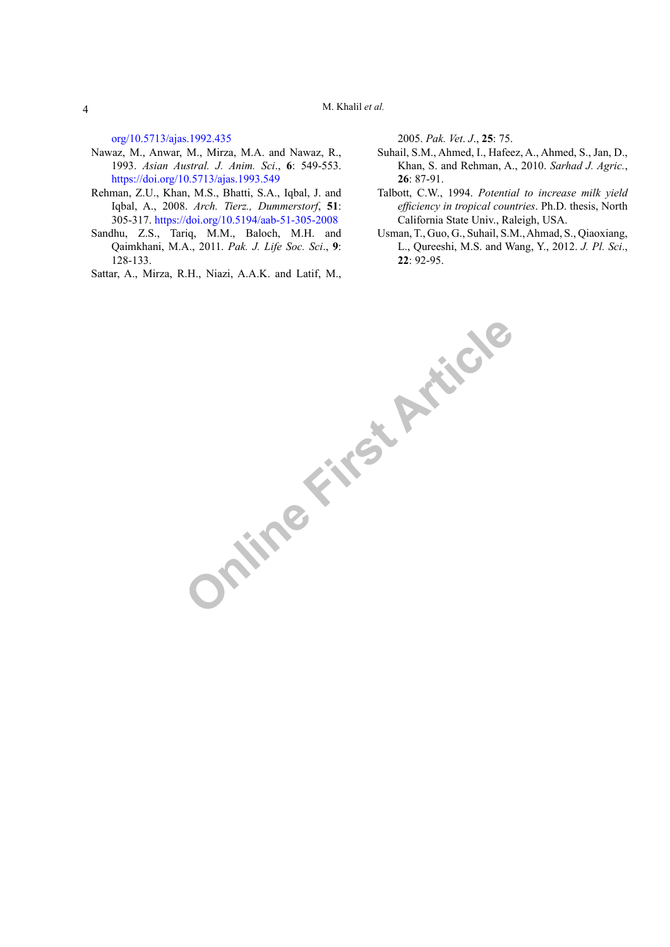[org/10.5713/ajas.1992.435](https://doi.org/10.5713/ajas.1992.435)

- Nawaz, M., Anwar, M., Mirza, M.A. and Nawaz, R., 1993. *Asian Austral. J. Anim. Sci*., **6**: 549-553. <https://doi.org/10.5713/ajas.1993.549>
- Rehman, Z.U., Khan, M.S., Bhatti, S.A., Iqbal, J. and Iqbal, A., 2008. *Arch. Tierz., Dummerstorf*, **51**: 305-317.<https://doi.org/10.5194/aab-51-305-2008>
- Sandhu, Z.S., Tariq, M.M., Baloch, M.H. and Qaimkhani, M.A., 2011. *Pak. J. Life Soc. Sci*., **9**: 128-133.

Sattar, A., Mirza, R.H., Niazi, A.A.K. and Latif, M.,

2005. *Pak. Vet*. *J*., **25**: 75.

- Suhail, S.M., Ahmed, I., Hafeez, A., Ahmed, S., Jan, D., Khan, S. and Rehman, A., 2010. *Sarhad J. Agric.*, **26**: 87-91.
- Talbott, C.W., 1994. *Potential to increase milk yield efficiency in tropical countries*. Ph.D. thesis, North California State Univ., Raleigh, USA.
- Usman, T., Guo, G., Suhail, S.M., Ahmad, S., Qiaoxiang, L., Qureeshi, M.S. and Wang, Y., 2012. *J. Pl. Sci*., **22**: 92-95.

**Online First Article**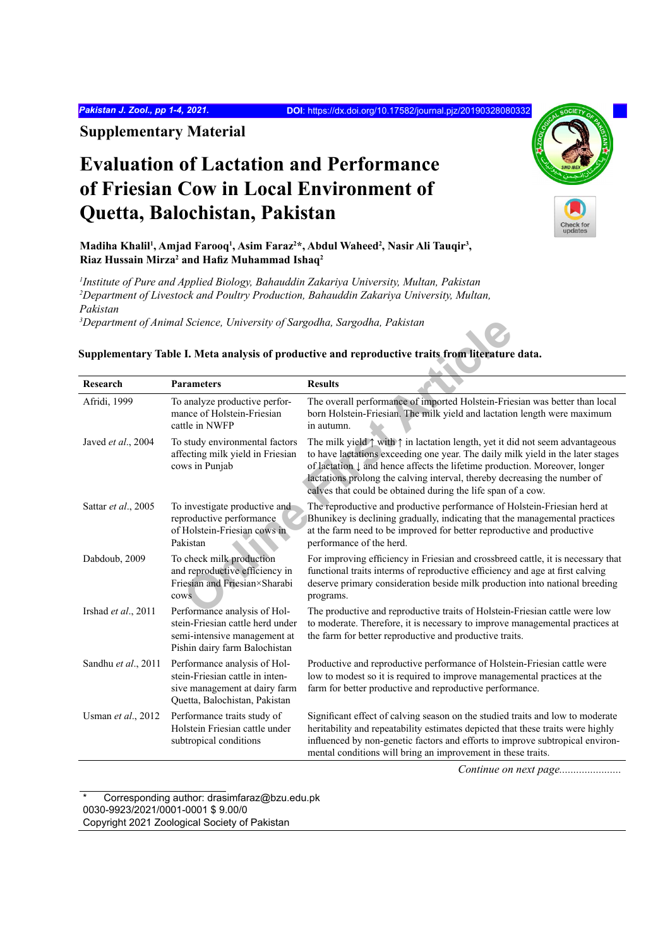*Pakistan J. Zool., pp 1-4, 2021.* **DOI**: <https://dx.doi.org/10.17582/journal.pjz/20190328080332>

**Supplementary Material**

# **Evaluation of Lactation and Performance of Friesian Cow in Local Environment of Quetta, Balochistan, Pakistan**

Madiha Khalil<sup>1</sup>, Amjad Farooq<sup>1</sup>, Asim Faraz<sup>2\*</sup>, Abdul Waheed<sup>2</sup>, Nasir Ali Tauqir<sup>3</sup>, **Riaz Hussain Mirza2 and Hafiz Muhammad Ishaq<sup>2</sup>**

*1 Institute of Pure and Applied Biology, Bahauddin Zakariya University, Multan, Pakistan 2 Department of Livestock and Poultry Production, Bahauddin Zakariya University, Multan, Pakistan*

*3 Department of Animal Science, University of Sargodha, Sargodha, Pakistan*

#### Science, University of Sargodha, Sargodha, Pakistan<br> **I. Meta analysis of productive and reproductive traits from literature**<br> **Traited Example 2** productive performance of Holstein-Friesian<br>
anexe productive performance o **Research Parameters Results** Afridi, 1999 To analyze productive performance of Holstein-Friesian cattle in NWFP The overall performance of imported Holstein-Friesian was better than local born Holstein-Friesian. The milk yield and lactation length were maximum in autumn. Javed *et al.*, 2004 To study environmental factors affecting milk yield in Friesian cows in Punjab The milk yield  $\uparrow$  with  $\uparrow$  in lactation length, yet it did not seem advantageous to have lactations exceeding one year. The daily milk yield in the later stages of lactation ↓ and hence affects the lifetime production. Moreover, longer lactations prolong the calving interval, thereby decreasing the number of calves that could be obtained during the life span of a cow. Sattar *et al.*, 2005 To investigate productive and reproductive performance of Holstein-Friesian cows in Pakistan The reproductive and productive performance of Holstein-Friesian herd at Bhunikey is declining gradually, indicating that the managemental practices at the farm need to be improved for better reproductive and productive performance of the herd. Dabdoub, 2009 To check milk production and reproductive efficiency in Friesian and Friesian×Sharabi cows For improving efficiency in Friesian and crossbreed cattle, it is necessary that functional traits interms of reproductive efficiency and age at first calving deserve primary consideration beside milk production into national breeding programs. Irshad *et al.*, 2011 Performance analysis of Holstein-Friesian cattle herd under semi-intensive management at Pishin dairy farm Balochistan The productive and reproductive traits of Holstein-Friesian cattle were low to moderate. Therefore, it is necessary to improve managemental practices at the farm for better reproductive and productive traits. Sandhu *et al.*, 2011 Performance analysis of Holstein-Friesian cattle in intensive management at dairy farm Quetta, Balochistan, Pakistan Productive and reproductive performance of Holstein-Friesian cattle were low to modest so it is required to improve managemental practices at the farm for better productive and reproductive performance. Usman *et al.*, 2012 Performance traits study of Holstein Friesian cattle under subtropical conditions Significant effect of calving season on the studied traits and low to moderate heritability and repeatability estimates depicted that these traits were highly influenced by non-genetic factors and efforts to improve subtropical environmental conditions will bring an improvement in these traits.

## **Supplementary Table I. Meta analysis of productive and reproductive traits from literature data.**

*Continue on next page......................*

Corresponding author: drasimfaraz@bzu.edu.pk 0030-9923/2021/0001-0001 \$ 9.00/0 Copyright 2021 Zoological Society of Pakistan